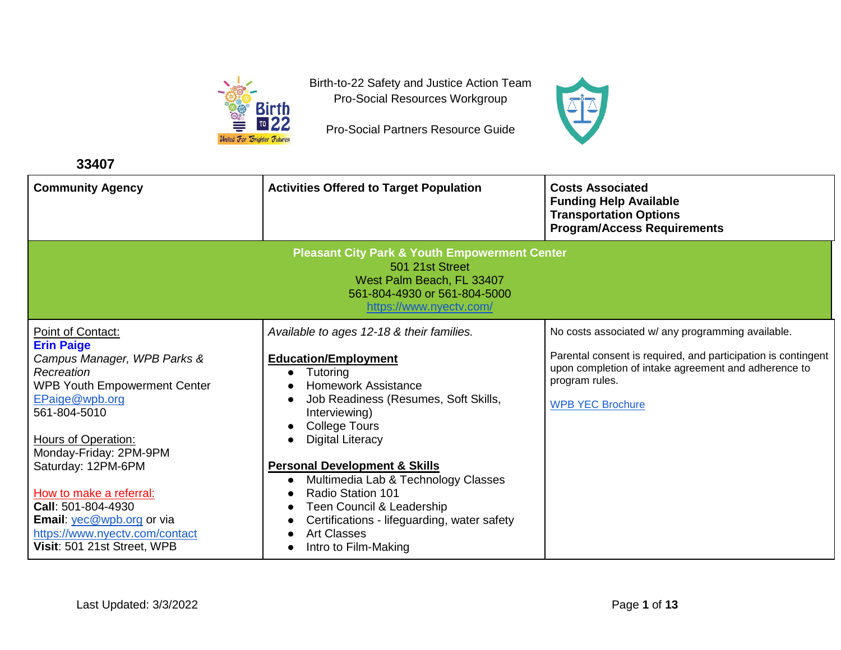

Birth-to-22 Safety and Justice Action Team Pro-Social Resources Workgroup

Pro-Social Partners Resource Guide



| 33407                                                                                                                                                                                                                                                                                                                                                                              |                                                                                                                                                                                                                                                                                                                                                                                                                                                                        |                                                                                                                                                                                                                         |
|------------------------------------------------------------------------------------------------------------------------------------------------------------------------------------------------------------------------------------------------------------------------------------------------------------------------------------------------------------------------------------|------------------------------------------------------------------------------------------------------------------------------------------------------------------------------------------------------------------------------------------------------------------------------------------------------------------------------------------------------------------------------------------------------------------------------------------------------------------------|-------------------------------------------------------------------------------------------------------------------------------------------------------------------------------------------------------------------------|
| <b>Community Agency</b>                                                                                                                                                                                                                                                                                                                                                            | <b>Activities Offered to Target Population</b>                                                                                                                                                                                                                                                                                                                                                                                                                         | <b>Costs Associated</b><br><b>Funding Help Available</b><br><b>Transportation Options</b><br><b>Program/Access Requirements</b>                                                                                         |
| <b>Pleasant City Park &amp; Youth Empowerment Center</b><br>501 21st Street<br>West Palm Beach, FL 33407<br>561-804-4930 or 561-804-5000<br>https://www.nyectv.com/                                                                                                                                                                                                                |                                                                                                                                                                                                                                                                                                                                                                                                                                                                        |                                                                                                                                                                                                                         |
| Point of Contact:<br><b>Erin Paige</b><br>Campus Manager, WPB Parks &<br>Recreation<br><b>WPB Youth Empowerment Center</b><br>EPaige@wpb.org<br>561-804-5010<br>Hours of Operation:<br>Monday-Friday: 2PM-9PM<br>Saturday: 12PM-6PM<br>How to make a referral:<br>Call: 501-804-4930<br>Email: yec@wpb.org or via<br>https://www.nyectv.com/contact<br>Visit: 501 21st Street, WPB | Available to ages 12-18 & their families.<br><b>Education/Employment</b><br>Tutoring<br><b>Homework Assistance</b><br>Job Readiness (Resumes, Soft Skills,<br>Interviewing)<br><b>College Tours</b><br>Digital Literacy<br><b>Personal Development &amp; Skills</b><br>Multimedia Lab & Technology Classes<br>$\bullet$<br>Radio Station 101<br>Teen Council & Leadership<br>Certifications - lifeguarding, water safety<br><b>Art Classes</b><br>Intro to Film-Making | No costs associated w/ any programming available.<br>Parental consent is required, and participation is contingent<br>upon completion of intake agreement and adherence to<br>program rules.<br><b>WPB YEC Brochure</b> |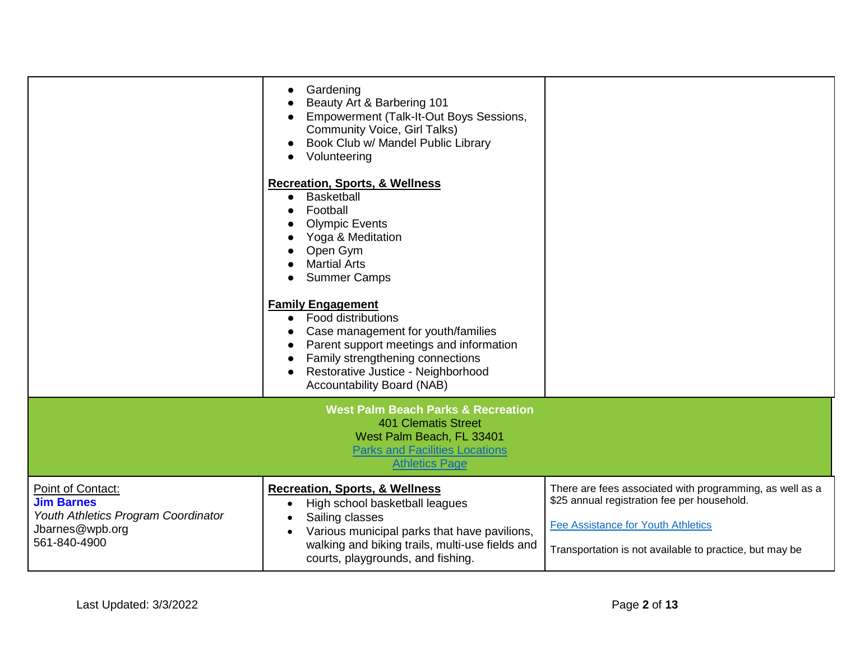|                                                                                                                  | Gardening<br>Beauty Art & Barbering 101<br>Empowerment (Talk-It-Out Boys Sessions,<br><b>Community Voice, Girl Talks)</b><br>Book Club w/ Mandel Public Library<br>Volunteering                                                                             |                                                                                                                                                                                                                 |
|------------------------------------------------------------------------------------------------------------------|-------------------------------------------------------------------------------------------------------------------------------------------------------------------------------------------------------------------------------------------------------------|-----------------------------------------------------------------------------------------------------------------------------------------------------------------------------------------------------------------|
|                                                                                                                  | <b>Recreation, Sports, &amp; Wellness</b><br>Basketball<br>Football<br><b>Olympic Events</b><br>Yoga & Meditation<br>Open Gym<br><b>Martial Arts</b><br><b>Summer Camps</b>                                                                                 |                                                                                                                                                                                                                 |
|                                                                                                                  | <b>Family Engagement</b><br>Food distributions<br>$\bullet$<br>Case management for youth/families<br>Parent support meetings and information<br>Family strengthening connections<br>Restorative Justice - Neighborhood<br><b>Accountability Board (NAB)</b> |                                                                                                                                                                                                                 |
|                                                                                                                  | <b>West Palm Beach Parks &amp; Recreation</b><br><b>401 Clematis Street</b><br>West Palm Beach, FL 33401<br><b>Parks and Facilities Locations</b><br><b>Athletics Page</b>                                                                                  |                                                                                                                                                                                                                 |
| Point of Contact:<br><b>Jim Barnes</b><br>Youth Athletics Program Coordinator<br>Jbarnes@wpb.org<br>561-840-4900 | <b>Recreation, Sports, &amp; Wellness</b><br>High school basketball leagues<br>Sailing classes<br>Various municipal parks that have pavilions,<br>walking and biking trails, multi-use fields and<br>courts, playgrounds, and fishing.                      | There are fees associated with programming, as well as a<br>\$25 annual registration fee per household.<br><b>Fee Assistance for Youth Athletics</b><br>Transportation is not available to practice, but may be |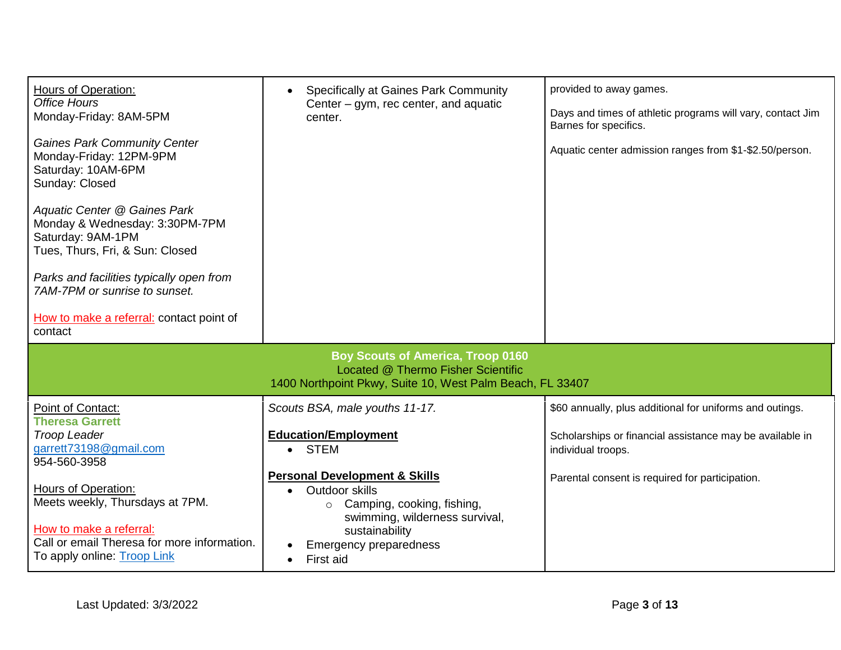| <b>Hours of Operation:</b><br><b>Office Hours</b><br>Monday-Friday: 8AM-5PM<br><b>Gaines Park Community Center</b><br>Monday-Friday: 12PM-9PM<br>Saturday: 10AM-6PM<br>Sunday: Closed<br>Aquatic Center @ Gaines Park<br>Monday & Wednesday: 3:30PM-7PM<br>Saturday: 9AM-1PM<br>Tues, Thurs, Fri, & Sun: Closed<br>Parks and facilities typically open from<br>7AM-7PM or sunrise to sunset.<br>How to make a referral: contact point of<br>contact | <b>Specifically at Gaines Park Community</b><br>Center – gym, rec center, and aquatic<br>center.                                                                                                                                                                                            | provided to away games.<br>Days and times of athletic programs will vary, contact Jim<br>Barnes for specifics.<br>Aquatic center admission ranges from \$1-\$2.50/person.                     |
|-----------------------------------------------------------------------------------------------------------------------------------------------------------------------------------------------------------------------------------------------------------------------------------------------------------------------------------------------------------------------------------------------------------------------------------------------------|---------------------------------------------------------------------------------------------------------------------------------------------------------------------------------------------------------------------------------------------------------------------------------------------|-----------------------------------------------------------------------------------------------------------------------------------------------------------------------------------------------|
|                                                                                                                                                                                                                                                                                                                                                                                                                                                     | <b>Boy Scouts of America, Troop 0160</b><br>Located @ Thermo Fisher Scientific<br>1400 Northpoint Pkwy, Suite 10, West Palm Beach, FL 33407                                                                                                                                                 |                                                                                                                                                                                               |
| Point of Contact:<br><b>Theresa Garrett</b><br><b>Troop Leader</b><br>garrett73198@gmail.com<br>954-560-3958<br><b>Hours of Operation:</b><br>Meets weekly, Thursdays at 7PM.<br>How to make a referral:<br>Call or email Theresa for more information.<br>To apply online: Troop Link                                                                                                                                                              | Scouts BSA, male youths 11-17.<br><b>Education/Employment</b><br>STEM<br>$\bullet$<br><b>Personal Development &amp; Skills</b><br>Outdoor skills<br>Camping, cooking, fishing,<br>$\circ$<br>swimming, wilderness survival,<br>sustainability<br><b>Emergency preparedness</b><br>First aid | \$60 annually, plus additional for uniforms and outings.<br>Scholarships or financial assistance may be available in<br>individual troops.<br>Parental consent is required for participation. |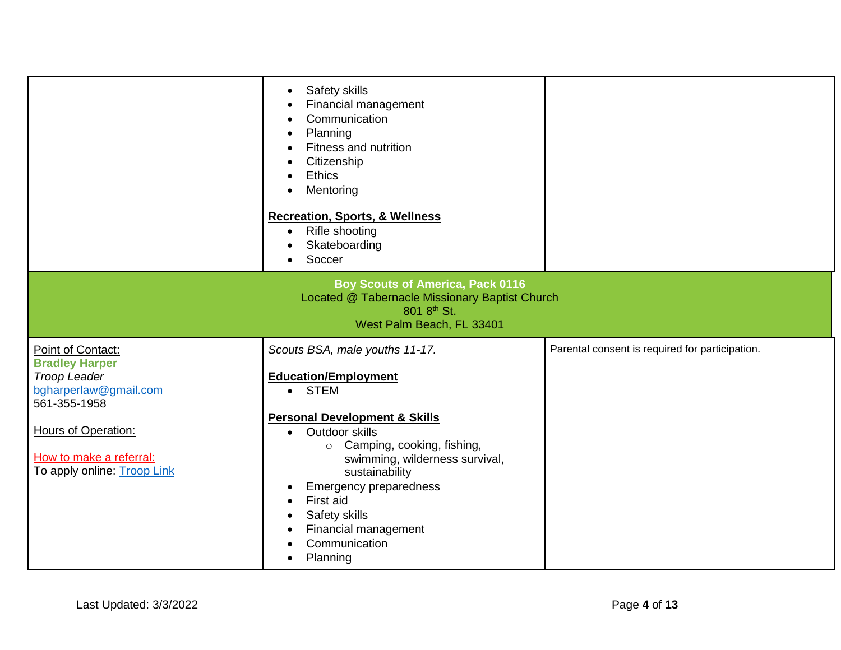|                                                                                                                                                                                             | Safety skills<br>Financial management<br>Communication<br>Planning<br>Fitness and nutrition<br>Citizenship<br><b>Ethics</b><br>Mentoring<br><b>Recreation, Sports, &amp; Wellness</b><br>Rifle shooting<br>$\bullet$<br>Skateboarding<br>Soccer<br>$\bullet$                                                                                                     |                                                 |
|---------------------------------------------------------------------------------------------------------------------------------------------------------------------------------------------|------------------------------------------------------------------------------------------------------------------------------------------------------------------------------------------------------------------------------------------------------------------------------------------------------------------------------------------------------------------|-------------------------------------------------|
| <b>Boy Scouts of America, Pack 0116</b><br>Located @ Tabernacle Missionary Baptist Church<br>801 8th St.<br>West Palm Beach, FL 33401                                                       |                                                                                                                                                                                                                                                                                                                                                                  |                                                 |
| Point of Contact:<br><b>Bradley Harper</b><br><b>Troop Leader</b><br>bgharperlaw@gmail.com<br>561-355-1958<br>Hours of Operation:<br>How to make a referral:<br>To apply online: Troop Link | Scouts BSA, male youths 11-17.<br><b>Education/Employment</b><br>• STEM<br><b>Personal Development &amp; Skills</b><br>Outdoor skills<br>$\bullet$<br>o Camping, cooking, fishing,<br>swimming, wilderness survival,<br>sustainability<br>Emergency preparedness<br>First aid<br>Safety skills<br>Financial management<br>Communication<br>Planning<br>$\bullet$ | Parental consent is required for participation. |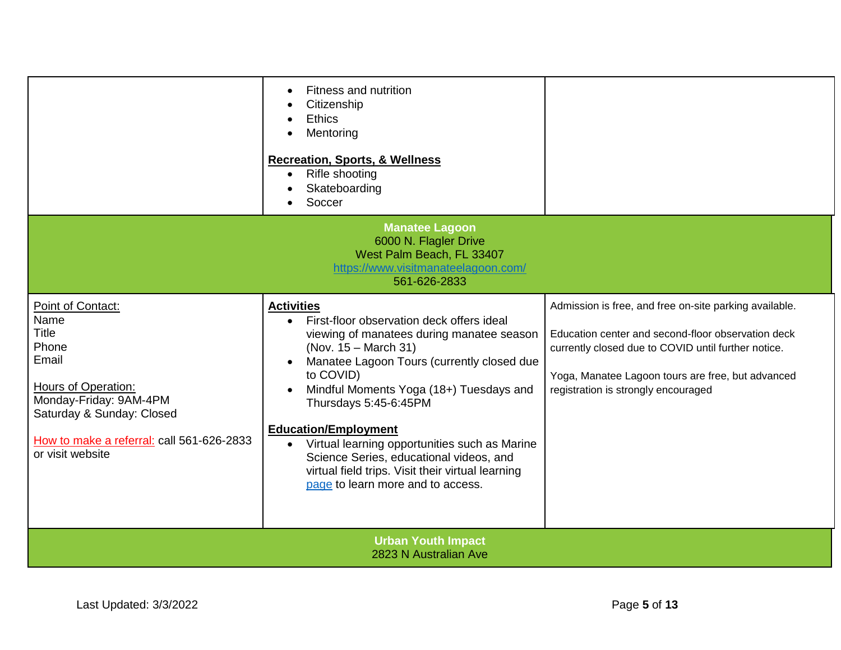|                                                                                                                                                                                                            | Fitness and nutrition<br>Citizenship<br><b>Ethics</b><br>Mentoring<br><b>Recreation, Sports, &amp; Wellness</b><br>Rifle shooting<br>Skateboarding<br>Soccer                                                                                                                                                                                                                                                                                                                                                                   |                                                                                                                                                                                                                                                                 |
|------------------------------------------------------------------------------------------------------------------------------------------------------------------------------------------------------------|--------------------------------------------------------------------------------------------------------------------------------------------------------------------------------------------------------------------------------------------------------------------------------------------------------------------------------------------------------------------------------------------------------------------------------------------------------------------------------------------------------------------------------|-----------------------------------------------------------------------------------------------------------------------------------------------------------------------------------------------------------------------------------------------------------------|
|                                                                                                                                                                                                            | <b>Manatee Lagoon</b><br>6000 N. Flagler Drive<br>West Palm Beach, FL 33407<br>https://www.visitmanateelagoon.com/<br>561-626-2833                                                                                                                                                                                                                                                                                                                                                                                             |                                                                                                                                                                                                                                                                 |
| Point of Contact:<br>Name<br>Title<br>Phone<br>Email<br><b>Hours of Operation:</b><br>Monday-Friday: 9AM-4PM<br>Saturday & Sunday: Closed<br>How to make a referral: call 561-626-2833<br>or visit website | <b>Activities</b><br>First-floor observation deck offers ideal<br>viewing of manatees during manatee season<br>(Nov. 15 – March 31)<br>Manatee Lagoon Tours (currently closed due<br>$\bullet$<br>to COVID)<br>Mindful Moments Yoga (18+) Tuesdays and<br>$\bullet$<br>Thursdays 5:45-6:45PM<br><b>Education/Employment</b><br>Virtual learning opportunities such as Marine<br>$\bullet$<br>Science Series, educational videos, and<br>virtual field trips. Visit their virtual learning<br>page to learn more and to access. | Admission is free, and free on-site parking available.<br>Education center and second-floor observation deck<br>currently closed due to COVID until further notice.<br>Yoga, Manatee Lagoon tours are free, but advanced<br>registration is strongly encouraged |
| <b>Urban Youth Impact</b><br>2823 N Australian Ave                                                                                                                                                         |                                                                                                                                                                                                                                                                                                                                                                                                                                                                                                                                |                                                                                                                                                                                                                                                                 |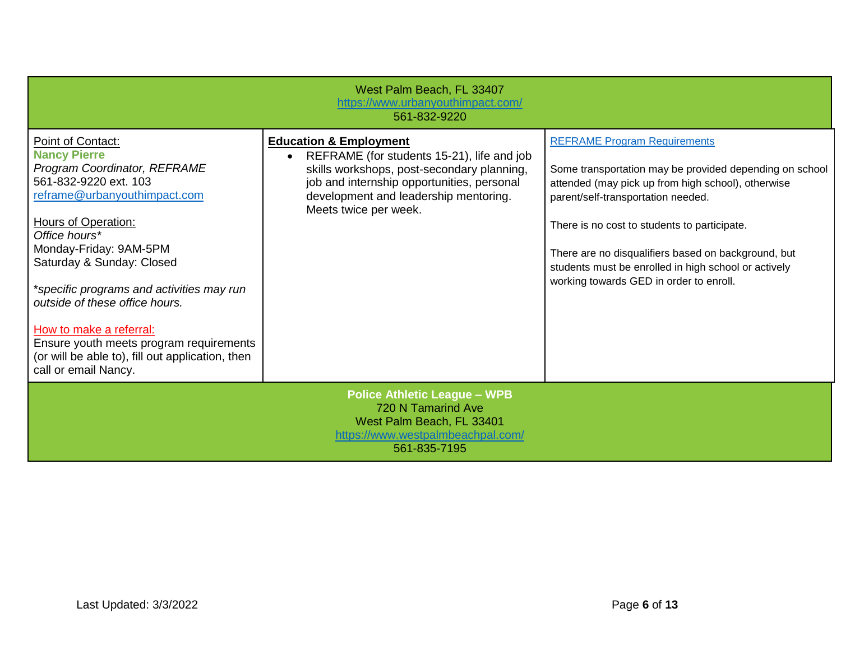| West Palm Beach, FL 33407<br>https://www.urbanyouthimpact.com/<br>561-832-9220                                                                                                                                                                                                                                                                                                                                                                                    |                                                                                                                                                                                                                                                            |                                                                                                                                                                                                                                                                                                                                                                                                      |
|-------------------------------------------------------------------------------------------------------------------------------------------------------------------------------------------------------------------------------------------------------------------------------------------------------------------------------------------------------------------------------------------------------------------------------------------------------------------|------------------------------------------------------------------------------------------------------------------------------------------------------------------------------------------------------------------------------------------------------------|------------------------------------------------------------------------------------------------------------------------------------------------------------------------------------------------------------------------------------------------------------------------------------------------------------------------------------------------------------------------------------------------------|
| Point of Contact:<br><b>Nancy Pierre</b><br>Program Coordinator, REFRAME<br>561-832-9220 ext. 103<br>reframe@urbanyouthimpact.com<br>Hours of Operation:<br>Office hours*<br>Monday-Friday: 9AM-5PM<br>Saturday & Sunday: Closed<br>*specific programs and activities may run<br>outside of these office hours.<br>How to make a referral:<br>Ensure youth meets program requirements<br>(or will be able to), fill out application, then<br>call or email Nancy. | <b>Education &amp; Employment</b><br>REFRAME (for students 15-21), life and job<br>$\bullet$<br>skills workshops, post-secondary planning,<br>job and internship opportunities, personal<br>development and leadership mentoring.<br>Meets twice per week. | <b>REFRAME Program Requirements</b><br>Some transportation may be provided depending on school<br>attended (may pick up from high school), otherwise<br>parent/self-transportation needed.<br>There is no cost to students to participate.<br>There are no disqualifiers based on background, but<br>students must be enrolled in high school or actively<br>working towards GED in order to enroll. |
|                                                                                                                                                                                                                                                                                                                                                                                                                                                                   | <b>Police Athletic League - WPB</b><br>720 N Tamarind Ave<br>West Palm Beach, FL 33401<br>https://www.westpalmbeachpal.com/<br>561-835-7195                                                                                                                |                                                                                                                                                                                                                                                                                                                                                                                                      |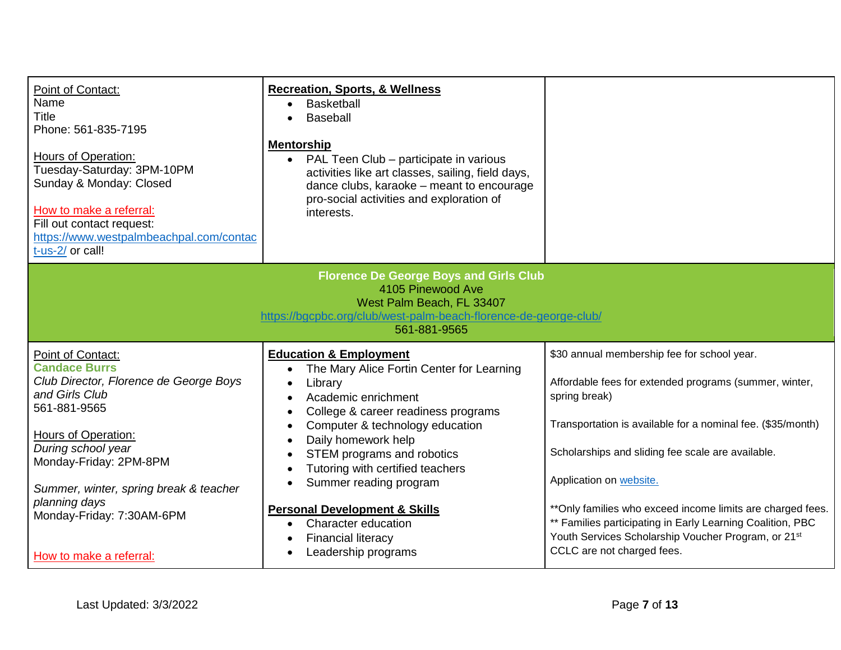| Point of Contact:<br>Name<br>Title<br>Phone: 561-835-7195<br><b>Hours of Operation:</b><br>Tuesday-Saturday: 3PM-10PM<br>Sunday & Monday: Closed<br>How to make a referral:<br>Fill out contact request:<br>https://www.westpalmbeachpal.com/contac<br>t-us-2/ or call!                                                | <b>Recreation, Sports, &amp; Wellness</b><br>Basketball<br>Baseball<br><b>Mentorship</b><br>• PAL Teen Club - participate in various<br>activities like art classes, sailing, field days,<br>dance clubs, karaoke - meant to encourage<br>pro-social activities and exploration of<br>interests.                                                                                                                                                  |                                                                                                                                                                                                                                                                                                                                                                                                                                                                                                     |
|------------------------------------------------------------------------------------------------------------------------------------------------------------------------------------------------------------------------------------------------------------------------------------------------------------------------|---------------------------------------------------------------------------------------------------------------------------------------------------------------------------------------------------------------------------------------------------------------------------------------------------------------------------------------------------------------------------------------------------------------------------------------------------|-----------------------------------------------------------------------------------------------------------------------------------------------------------------------------------------------------------------------------------------------------------------------------------------------------------------------------------------------------------------------------------------------------------------------------------------------------------------------------------------------------|
| <b>Florence De George Boys and Girls Club</b><br>4105 Pinewood Ave<br>West Palm Beach, FL 33407<br>https://bgcpbc.org/club/west-palm-beach-florence-de-george-club/<br>561-881-9565                                                                                                                                    |                                                                                                                                                                                                                                                                                                                                                                                                                                                   |                                                                                                                                                                                                                                                                                                                                                                                                                                                                                                     |
| Point of Contact:<br><b>Candace Burrs</b><br>Club Director, Florence de George Boys<br>and Girls Club<br>561-881-9565<br><b>Hours of Operation:</b><br>During school year<br>Monday-Friday: 2PM-8PM<br>Summer, winter, spring break & teacher<br>planning days<br>Monday-Friday: 7:30AM-6PM<br>How to make a referral: | <b>Education &amp; Employment</b><br>The Mary Alice Fortin Center for Learning<br>Library<br>Academic enrichment<br>College & career readiness programs<br>Computer & technology education<br>Daily homework help<br>STEM programs and robotics<br>Tutoring with certified teachers<br>Summer reading program<br><b>Personal Development &amp; Skills</b><br>Character education<br>$\bullet$<br><b>Financial literacy</b><br>Leadership programs | \$30 annual membership fee for school year.<br>Affordable fees for extended programs (summer, winter,<br>spring break)<br>Transportation is available for a nominal fee. (\$35/month)<br>Scholarships and sliding fee scale are available.<br>Application on website.<br>** Only families who exceed income limits are charged fees.<br>** Families participating in Early Learning Coalition, PBC<br>Youth Services Scholarship Voucher Program, or 21 <sup>st</sup><br>CCLC are not charged fees. |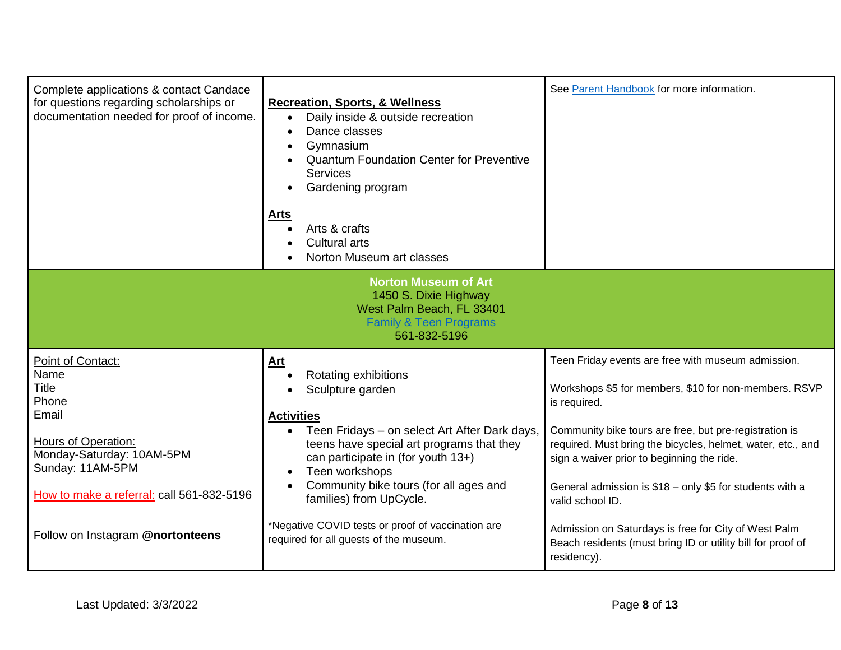| Complete applications & contact Candace<br>for questions regarding scholarships or<br>documentation needed for proof of income.                                                         | <b>Recreation, Sports, &amp; Wellness</b><br>Daily inside & outside recreation<br>$\bullet$<br>Dance classes<br>Gymnasium<br><b>Quantum Foundation Center for Preventive</b><br>Services<br>Gardening program<br>$\bullet$<br><b>Arts</b><br>Arts & crafts<br><b>Cultural arts</b><br>Norton Museum art classes       | See Parent Handbook for more information.                                                                                                                                                                                                                                                                                                                                          |
|-----------------------------------------------------------------------------------------------------------------------------------------------------------------------------------------|-----------------------------------------------------------------------------------------------------------------------------------------------------------------------------------------------------------------------------------------------------------------------------------------------------------------------|------------------------------------------------------------------------------------------------------------------------------------------------------------------------------------------------------------------------------------------------------------------------------------------------------------------------------------------------------------------------------------|
| <b>Norton Museum of Art</b><br>1450 S. Dixie Highway<br>West Palm Beach, FL 33401<br><b>Family &amp; Teen Programs</b><br>561-832-5196                                                  |                                                                                                                                                                                                                                                                                                                       |                                                                                                                                                                                                                                                                                                                                                                                    |
| Point of Contact:<br>Name<br><b>Title</b><br>Phone<br>Email<br><b>Hours of Operation:</b><br>Monday-Saturday: 10AM-5PM<br>Sunday: 11AM-5PM<br>How to make a referral: call 561-832-5196 | <b>Art</b><br>Rotating exhibitions<br>Sculpture garden<br><b>Activities</b><br>• Teen Fridays – on select Art After Dark days,<br>teens have special art programs that they<br>can participate in (for youth 13+)<br>Teen workshops<br>$\bullet$<br>Community bike tours (for all ages and<br>families) from UpCycle. | Teen Friday events are free with museum admission.<br>Workshops \$5 for members, \$10 for non-members. RSVP<br>is required.<br>Community bike tours are free, but pre-registration is<br>required. Must bring the bicycles, helmet, water, etc., and<br>sign a waiver prior to beginning the ride.<br>General admission is \$18 - only \$5 for students with a<br>valid school ID. |
| Follow on Instagram @nortonteens                                                                                                                                                        | *Negative COVID tests or proof of vaccination are<br>required for all guests of the museum.                                                                                                                                                                                                                           | Admission on Saturdays is free for City of West Palm<br>Beach residents (must bring ID or utility bill for proof of<br>residency).                                                                                                                                                                                                                                                 |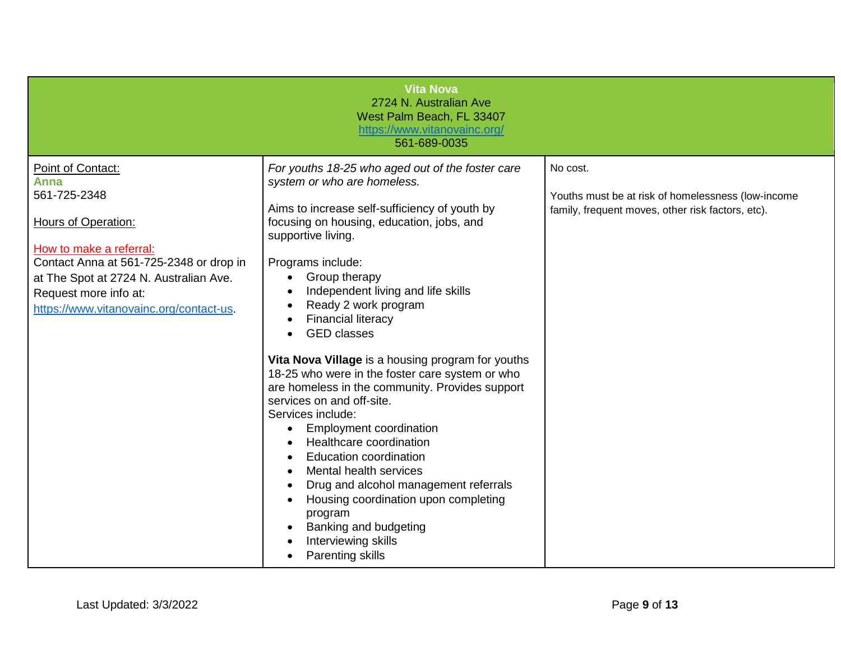|                                                                                                                                                                                                                                                             | <b>Vita Nova</b><br>2724 N. Australian Ave<br>West Palm Beach, FL 33407<br>https://www.vitanovainc.org/<br>561-689-0035                                                                                                                                                                                                                                                                                                                                                                                                                                                                                                                                                                                                                                                                                                                                         |                                                                                                                     |
|-------------------------------------------------------------------------------------------------------------------------------------------------------------------------------------------------------------------------------------------------------------|-----------------------------------------------------------------------------------------------------------------------------------------------------------------------------------------------------------------------------------------------------------------------------------------------------------------------------------------------------------------------------------------------------------------------------------------------------------------------------------------------------------------------------------------------------------------------------------------------------------------------------------------------------------------------------------------------------------------------------------------------------------------------------------------------------------------------------------------------------------------|---------------------------------------------------------------------------------------------------------------------|
| Point of Contact:<br>Anna<br>561-725-2348<br><b>Hours of Operation:</b><br>How to make a referral:<br>Contact Anna at 561-725-2348 or drop in<br>at The Spot at 2724 N. Australian Ave.<br>Request more info at:<br>https://www.vitanovainc.org/contact-us. | For youths 18-25 who aged out of the foster care<br>system or who are homeless.<br>Aims to increase self-sufficiency of youth by<br>focusing on housing, education, jobs, and<br>supportive living.<br>Programs include:<br>Group therapy<br>Independent living and life skills<br>Ready 2 work program<br><b>Financial literacy</b><br><b>GED</b> classes<br>Vita Nova Village is a housing program for youths<br>18-25 who were in the foster care system or who<br>are homeless in the community. Provides support<br>services on and off-site.<br>Services include:<br><b>Employment coordination</b><br>Healthcare coordination<br><b>Education coordination</b><br>Mental health services<br>Drug and alcohol management referrals<br>Housing coordination upon completing<br>program<br>Banking and budgeting<br>Interviewing skills<br>Parenting skills | No cost.<br>Youths must be at risk of homelessness (low-income<br>family, frequent moves, other risk factors, etc). |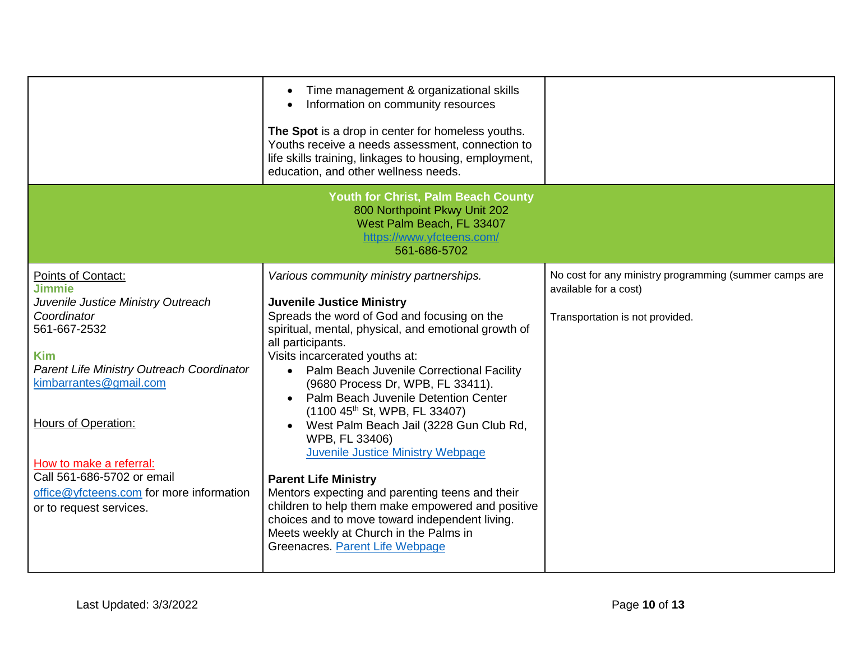|                                                                                                                                                                                                                                                                                                                                                      | Time management & organizational skills<br>Information on community resources<br>The Spot is a drop in center for homeless youths.<br>Youths receive a needs assessment, connection to<br>life skills training, linkages to housing, employment,<br>education, and other wellness needs.                                                                                                                                                                                                                                                                                                                                                                                                                                                                                                                      |                                                                                                                    |
|------------------------------------------------------------------------------------------------------------------------------------------------------------------------------------------------------------------------------------------------------------------------------------------------------------------------------------------------------|---------------------------------------------------------------------------------------------------------------------------------------------------------------------------------------------------------------------------------------------------------------------------------------------------------------------------------------------------------------------------------------------------------------------------------------------------------------------------------------------------------------------------------------------------------------------------------------------------------------------------------------------------------------------------------------------------------------------------------------------------------------------------------------------------------------|--------------------------------------------------------------------------------------------------------------------|
|                                                                                                                                                                                                                                                                                                                                                      | Youth for Christ, Palm Beach County<br>800 Northpoint Pkwy Unit 202<br>West Palm Beach, FL 33407<br>https://www.yfcteens.com/<br>561-686-5702                                                                                                                                                                                                                                                                                                                                                                                                                                                                                                                                                                                                                                                                 |                                                                                                                    |
| Points of Contact:<br><b>Jimmie</b><br>Juvenile Justice Ministry Outreach<br>Coordinator<br>561-667-2532<br><b>Kim</b><br>Parent Life Ministry Outreach Coordinator<br>kimbarrantes@gmail.com<br>Hours of Operation:<br>How to make a referral:<br>Call 561-686-5702 or email<br>office@yfcteens.com for more information<br>or to request services. | Various community ministry partnerships.<br><b>Juvenile Justice Ministry</b><br>Spreads the word of God and focusing on the<br>spiritual, mental, physical, and emotional growth of<br>all participants.<br>Visits incarcerated youths at:<br>Palm Beach Juvenile Correctional Facility<br>$\bullet$<br>(9680 Process Dr, WPB, FL 33411).<br>Palm Beach Juvenile Detention Center<br>(1100 45 <sup>th</sup> St, WPB, FL 33407)<br>West Palm Beach Jail (3228 Gun Club Rd,<br>WPB, FL 33406)<br><b>Juvenile Justice Ministry Webpage</b><br><b>Parent Life Ministry</b><br>Mentors expecting and parenting teens and their<br>children to help them make empowered and positive<br>choices and to move toward independent living.<br>Meets weekly at Church in the Palms in<br>Greenacres. Parent Life Webpage | No cost for any ministry programming (summer camps are<br>available for a cost)<br>Transportation is not provided. |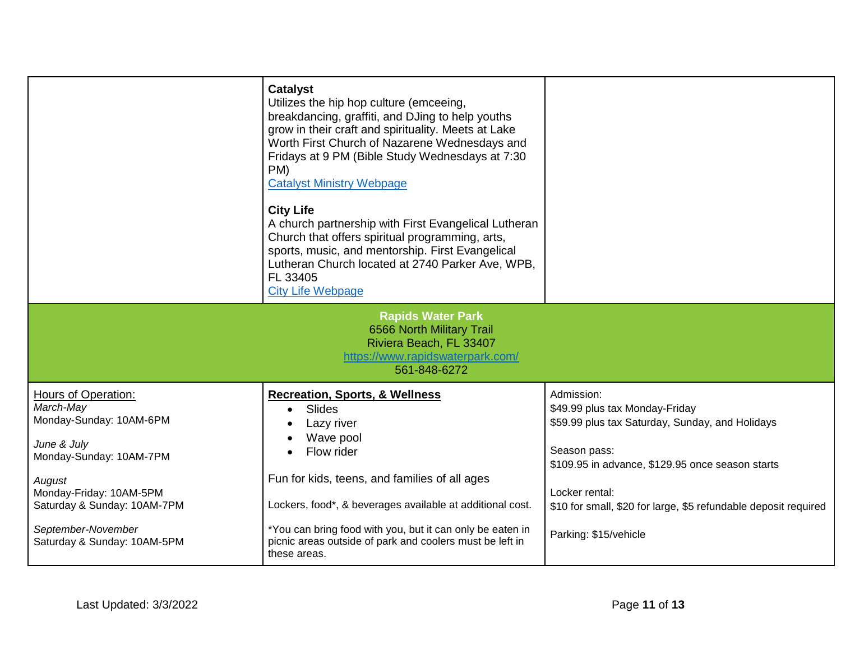|                                                   | <b>Catalyst</b><br>Utilizes the hip hop culture (emceeing,<br>breakdancing, graffiti, and DJing to help youths<br>grow in their craft and spirituality. Meets at Lake<br>Worth First Church of Nazarene Wednesdays and<br>Fridays at 9 PM (Bible Study Wednesdays at 7:30<br>PM)<br><b>Catalyst Ministry Webpage</b><br><b>City Life</b><br>A church partnership with First Evangelical Lutheran<br>Church that offers spiritual programming, arts,<br>sports, music, and mentorship. First Evangelical<br>Lutheran Church located at 2740 Parker Ave, WPB,<br>FL 33405<br><b>City Life Webpage</b> |                                                                 |
|---------------------------------------------------|-----------------------------------------------------------------------------------------------------------------------------------------------------------------------------------------------------------------------------------------------------------------------------------------------------------------------------------------------------------------------------------------------------------------------------------------------------------------------------------------------------------------------------------------------------------------------------------------------------|-----------------------------------------------------------------|
|                                                   | <b>Rapids Water Park</b><br>6566 North Military Trail<br>Riviera Beach, FL 33407<br>https://www.rapidswaterpark.com/<br>561-848-6272                                                                                                                                                                                                                                                                                                                                                                                                                                                                |                                                                 |
| Hours of Operation:                               | <b>Recreation, Sports, &amp; Wellness</b>                                                                                                                                                                                                                                                                                                                                                                                                                                                                                                                                                           | Admission:                                                      |
| March-May                                         | Slides                                                                                                                                                                                                                                                                                                                                                                                                                                                                                                                                                                                              | \$49.99 plus tax Monday-Friday                                  |
| Monday-Sunday: 10AM-6PM                           | Lazy river                                                                                                                                                                                                                                                                                                                                                                                                                                                                                                                                                                                          | \$59.99 plus tax Saturday, Sunday, and Holidays                 |
| June & July                                       | Wave pool                                                                                                                                                                                                                                                                                                                                                                                                                                                                                                                                                                                           |                                                                 |
| Monday-Sunday: 10AM-7PM                           | Flow rider                                                                                                                                                                                                                                                                                                                                                                                                                                                                                                                                                                                          | Season pass:                                                    |
|                                                   |                                                                                                                                                                                                                                                                                                                                                                                                                                                                                                                                                                                                     | \$109.95 in advance, \$129.95 once season starts                |
| August                                            | Fun for kids, teens, and families of all ages                                                                                                                                                                                                                                                                                                                                                                                                                                                                                                                                                       |                                                                 |
| Monday-Friday: 10AM-5PM                           |                                                                                                                                                                                                                                                                                                                                                                                                                                                                                                                                                                                                     | Locker rental:                                                  |
| Saturday & Sunday: 10AM-7PM                       | Lockers, food*, & beverages available at additional cost.                                                                                                                                                                                                                                                                                                                                                                                                                                                                                                                                           | \$10 for small, \$20 for large, \$5 refundable deposit required |
| September-November<br>Saturday & Sunday: 10AM-5PM | *You can bring food with you, but it can only be eaten in<br>picnic areas outside of park and coolers must be left in<br>these areas.                                                                                                                                                                                                                                                                                                                                                                                                                                                               | Parking: \$15/vehicle                                           |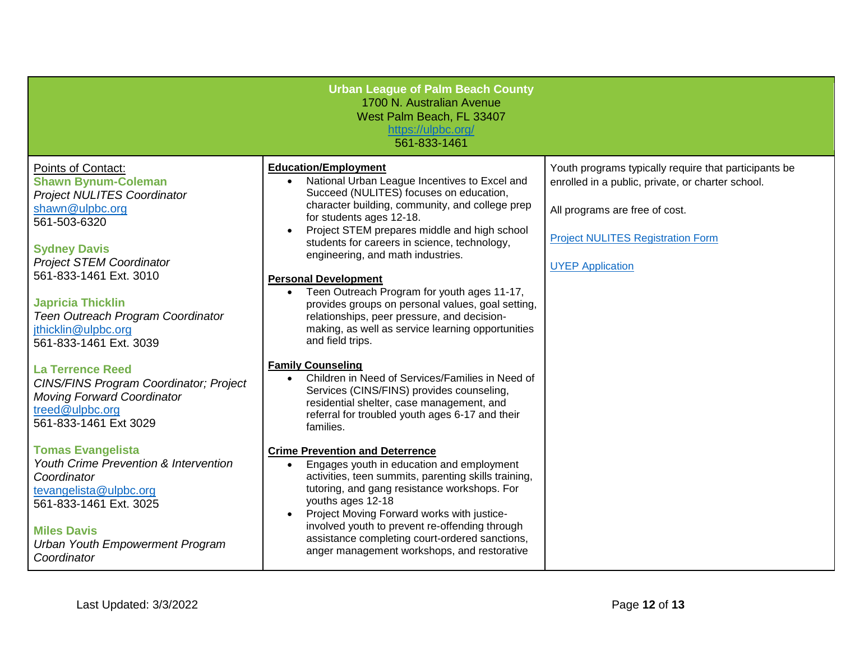|                                                                                                                                                                                                                                                                                                                                                                                                                                                                            | <b>Urban League of Palm Beach County</b><br>1700 N. Australian Avenue<br>West Palm Beach, FL 33407<br>https://ulpbc.org/<br>561-833-1461                                                                                                                                                                                                                                                                                                                                                                                                                                                                                                                                                                                                                                                        |                                                                                                                                                                                                                     |
|----------------------------------------------------------------------------------------------------------------------------------------------------------------------------------------------------------------------------------------------------------------------------------------------------------------------------------------------------------------------------------------------------------------------------------------------------------------------------|-------------------------------------------------------------------------------------------------------------------------------------------------------------------------------------------------------------------------------------------------------------------------------------------------------------------------------------------------------------------------------------------------------------------------------------------------------------------------------------------------------------------------------------------------------------------------------------------------------------------------------------------------------------------------------------------------------------------------------------------------------------------------------------------------|---------------------------------------------------------------------------------------------------------------------------------------------------------------------------------------------------------------------|
| <b>Points of Contact:</b><br><b>Shawn Bynum-Coleman</b><br><b>Project NULITES Coordinator</b><br>shawn@ulpbc.org<br>561-503-6320<br><b>Sydney Davis</b><br><b>Project STEM Coordinator</b><br>561-833-1461 Ext. 3010<br><b>Japricia Thicklin</b><br>Teen Outreach Program Coordinator<br>jthicklin@ulpbc.org<br>561-833-1461 Ext. 3039<br><b>La Terrence Reed</b><br><b>CINS/FINS Program Coordinator; Project</b><br><b>Moving Forward Coordinator</b><br>treed@ulpbc.org | <b>Education/Employment</b><br>National Urban League Incentives to Excel and<br>Succeed (NULITES) focuses on education,<br>character building, community, and college prep<br>for students ages 12-18.<br>Project STEM prepares middle and high school<br>students for careers in science, technology,<br>engineering, and math industries.<br><b>Personal Development</b><br>• Teen Outreach Program for youth ages 11-17,<br>provides groups on personal values, goal setting,<br>relationships, peer pressure, and decision-<br>making, as well as service learning opportunities<br>and field trips.<br><b>Family Counseling</b><br>Children in Need of Services/Families in Need of<br>$\bullet$<br>Services (CINS/FINS) provides counseling,<br>residential shelter, case management, and | Youth programs typically require that participants be<br>enrolled in a public, private, or charter school.<br>All programs are free of cost.<br><b>Project NULITES Registration Form</b><br><b>UYEP Application</b> |
| 561-833-1461 Ext 3029<br><b>Tomas Evangelista</b><br><b>Youth Crime Prevention &amp; Intervention</b><br>Coordinator<br>tevangelista@ulpbc.org<br>561-833-1461 Ext. 3025<br><b>Miles Davis</b><br><b>Urban Youth Empowerment Program</b><br>Coordinator                                                                                                                                                                                                                    | referral for troubled youth ages 6-17 and their<br>families.<br><b>Crime Prevention and Deterrence</b><br>Engages youth in education and employment<br>$\bullet$<br>activities, teen summits, parenting skills training,<br>tutoring, and gang resistance workshops. For<br>youths ages 12-18<br>Project Moving Forward works with justice-<br>involved youth to prevent re-offending through<br>assistance completing court-ordered sanctions,<br>anger management workshops, and restorative                                                                                                                                                                                                                                                                                                  |                                                                                                                                                                                                                     |